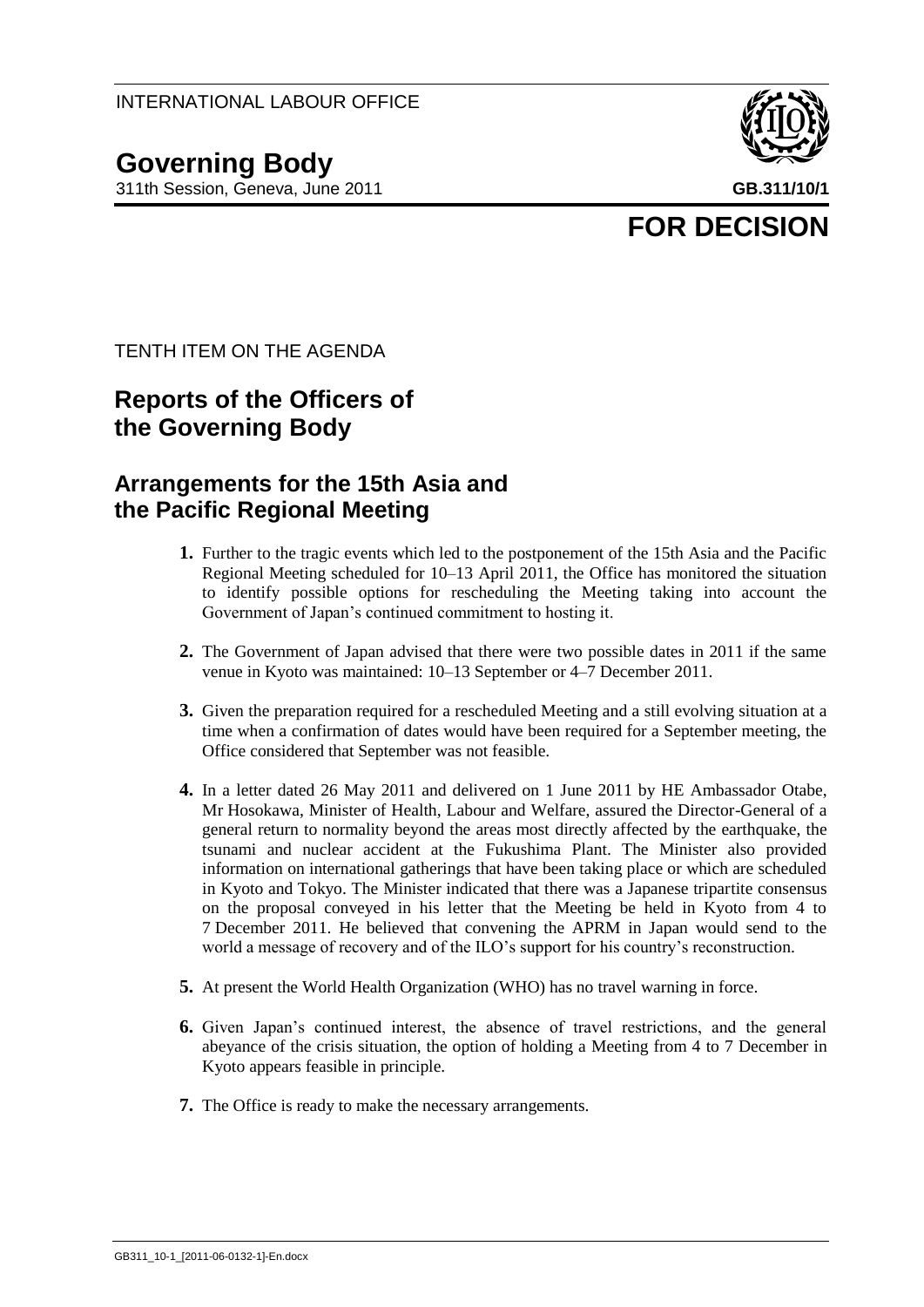## **Governing Body**

311th Session, Geneva, June 2011 **GB.311/10/1**



# **FOR DECISION**

TENTH ITEM ON THE AGENDA

### **Reports of the Officers of the Governing Body**

#### **Arrangements for the 15th Asia and the Pacific Regional Meeting**

- **1.** Further to the tragic events which led to the postponement of the 15th Asia and the Pacific Regional Meeting scheduled for 10–13 April 2011, the Office has monitored the situation to identify possible options for rescheduling the Meeting taking into account the Government of Japan's continued commitment to hosting it.
- **2.** The Government of Japan advised that there were two possible dates in 2011 if the same venue in Kyoto was maintained: 10–13 September or 4–7 December 2011.
- **3.** Given the preparation required for a rescheduled Meeting and a still evolving situation at a time when a confirmation of dates would have been required for a September meeting, the Office considered that September was not feasible.
- **4.** In a letter dated 26 May 2011 and delivered on 1 June 2011 by HE Ambassador Otabe, Mr Hosokawa, Minister of Health, Labour and Welfare, assured the Director-General of a general return to normality beyond the areas most directly affected by the earthquake, the tsunami and nuclear accident at the Fukushima Plant. The Minister also provided information on international gatherings that have been taking place or which are scheduled in Kyoto and Tokyo. The Minister indicated that there was a Japanese tripartite consensus on the proposal conveyed in his letter that the Meeting be held in Kyoto from 4 to 7 December 2011. He believed that convening the APRM in Japan would send to the world a message of recovery and of the ILO's support for his country's reconstruction.
- **5.** At present the World Health Organization (WHO) has no travel warning in force.
- **6.** Given Japan's continued interest, the absence of travel restrictions, and the general abeyance of the crisis situation, the option of holding a Meeting from 4 to 7 December in Kyoto appears feasible in principle.
- **7.** The Office is ready to make the necessary arrangements.